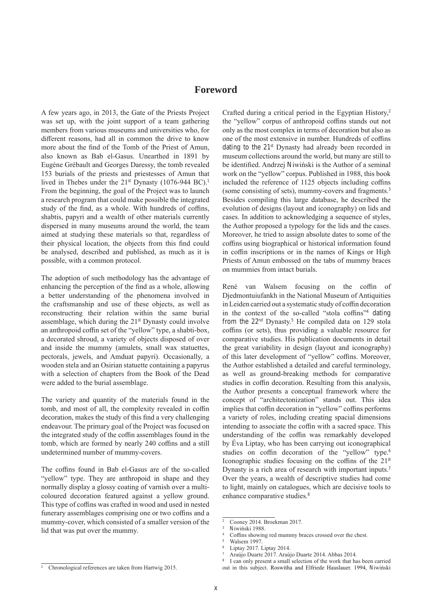## **Foreword**

A few years ago, in 2013, the Gate of the Priests Project was set up, with the joint support of a team gathering members from various museums and universities who, for different reasons, had all in common the drive to know more about the find of the Tomb of the Priest of Amun, also known as Bab el-Gasus. Unearthed in 1891 by Eugéne Grébault and Georges Daressy, the tomb revealed 153 burials of the priests and priestesses of Amun that lived in Thebes under the  $21^{st}$  Dynasty (1076-944 BC).<sup>1</sup> From the beginning, the goal of the Project was to launch a research program that could make possible the integrated study of the find, as a whole. With hundreds of coffins, shabtis, papyri and a wealth of other materials currently dispersed in many museums around the world, the team aimed at studying these materials so that, regardless of their physical location, the objects from this find could be analysed, described and published, as much as it is possible, with a common protocol.

The adoption of such methodology has the advantage of enhancing the perception of the find as a whole, allowing a better understanding of the phenomena involved in the craftsmanship and use of these objects, as well as reconstructing their relation within the same burial assemblage, which during the 21<sup>st</sup> Dynasty could involve an anthropoid coffin set of the "yellow" type, a shabti-box, a decorated shroud, a variety of objects disposed of over and inside the mummy (amulets, small wax statuettes, pectorals, jewels, and Amduat papyri). Occasionally, a wooden stela and an Osirian statuette containing a papyrus with a selection of chapters from the Book of the Dead were added to the burial assemblage.

The variety and quantity of the materials found in the tomb, and most of all, the complexity revealed in coffin decoration, makes the study of this find a very challenging endeavour. The primary goal of the Project was focused on the integrated study of the coffin assemblages found in the tomb, which are formed by nearly 240 coffins and a still undetermined number of mummy-covers.

The coffins found in Bab el-Gasus are of the so-called "yellow" type. They are anthropoid in shape and they normally display a glossy coating of varnish over a multicoloured decoration featured against a yellow ground. This type of coffins was crafted in wood and used in nested funerary assemblages comprising one or two coffins and a mummy-cover, which consisted of a smaller version of the lid that was put over the mummy.

Crafted during a critical period in the Egyptian History,<sup>2</sup> the "yellow" corpus of anthropoid coffins stands out not only as the most complex in terms of decoration but also as one of the most extensive in number. Hundreds of coffins dating to the 21st Dynasty had already been recorded in museum collections around the world, but many are still to be identified. Andrzej Niwiński is the Author of a seminal work on the "yellow" corpus. Published in 1988, this book included the reference of 1125 objects including coffins (some consisting of sets), mummy-covers and fragments.<sup>3</sup> Besides compiling this large database, he described the evolution of designs (layout and iconography) on lids and cases. In addition to acknowledging a sequence of styles, the Author proposed a typology for the lids and the cases. Moreover, he tried to assign absolute dates to some of the coffins using biographical or historical information found in coffin inscriptions or in the names of Kings or High Priests of Amun embossed on the tabs of mummy braces on mummies from intact burials.

René van Walsem focusing on the coffin of Djedmontuiufankh in the National Museum of Antiquities in Leiden carried out a systematic study of coffin decoration in the context of the so-called "stola coffins"<sup>4</sup> dating from the 22nd Dynasty.<sup>5</sup> He compiled data on 129 stola coffins (or sets), thus providing a valuable resource for comparative studies. His publication documents in detail the great variability in design (layout and iconography) of this later development of "yellow" coffins. Moreover, the Author established a detailed and careful terminology, as well as ground-breaking methods for comparative studies in coffin decoration. Resulting from this analysis, the Author presents a conceptual framework where the concept of "architectonization" stands out. This idea implies that coffin decoration in "yellow" coffins performs a variety of roles, including creating spacial dimensions intending to associate the coffin with a sacred space. This understanding of the coffin was remarkably developed by Éva Liptay, who has been carrying out iconographical studies on coffin decoration of the "yellow" type.<sup>6</sup> Iconographic studies focusing on the coffins of the 21st Dynasty is a rich area of research with important inputs.<sup>7</sup> Over the years, a wealth of descriptive studies had come to light, mainly on catalogues, which are decisive tools to enhance comparative studies.<sup>8</sup>

<sup>2</sup> Cooney 2014. Broekman 2017.

<sup>3</sup> Niwiński 1988.

Coffins showing red mummy braces crossed over the chest.

<sup>5</sup> Walsem 1997.

Liptay 2017. Liptay 2014.

<sup>7</sup> Araújo Duarte 2017. Araújo Duarte 2014. Abbas 2014.

I can only present a small selection of the work that has been carried out in this subject. Roswitha and Elfriede Hauslauer. 1994, Niwiński

<sup>1</sup> Chronological references are taken from Hartwig 2015.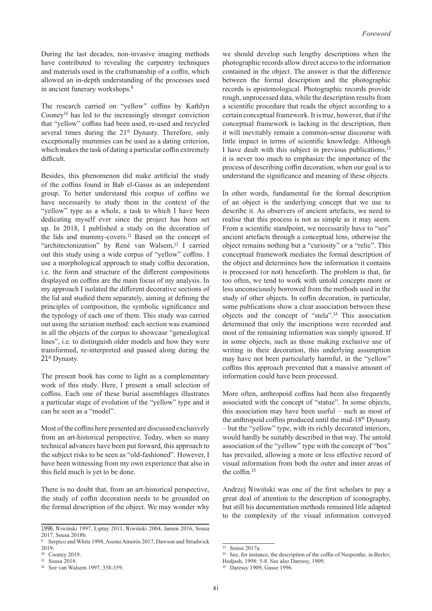During the last decades, non-invasive imaging methods have contributed to revealing the carpentry techniques and materials used in the craftsmanship of a coffin, which allowed an in-depth understanding of the processes used in ancient funerary workshops.<sup>9</sup>

The research carried on "yellow" coffins by Kathlyn Cooney<sup>10</sup> has led to the increasingly stronger conviction that "yellow" coffins had been used, re-used and recycled several times during the 21<sup>st</sup> Dynasty. Therefore, only exceptionally mummies can be used as a dating criterion, which makes the task of dating a particular coffin extremely difficult.

Besides, this phenomenon did make artificial the study of the coffins found in Bab el-Gasus as an independent group. To better understand this corpus of coffins we have necessarily to study them in the context of the "yellow" type as a whole, a task to which I have been dedicating myself ever since the project has been set up. In 2018, I published a study on the decoration of the lids and mummy-covers.<sup>11</sup> Based on the concept of "architectonization" by René van Walsem,<sup>12</sup> I carried out this study using a wide corpus of "yellow" coffins. I use a morphological approach to study coffin decoration, i.e. the form and structure of the different compositions displayed on coffins are the main focus of my analysis. In my approach I isolated the different decorative sections of the lid and studied them separately, aiming at defining the principles of composition, the symbolic significance and the typology of each one of them. This study was carried out using the seriation method: each section was examined in all the objects of the corpus to showcase "genealogical lines", i.e. to distinguish older models and how they were transformed, re-interpreted and passed along during the 21<sup>st</sup> Dynasty.

The present book has come to light as a complementary work of this study. Here, I present a small selection of coffins. Each one of these burial assemblages illustrates a particular stage of evolution of the "yellow" type and it can be seen as a "model".

Most of the coffins here presented are discussed exclusively from an art-historical perspective. Today, when so many technical advances have been put forward, this approach to the subject risks to be seen as "old-fashioned". However, I have been witnessing from my own experience that also in this field much is yet to be done.

There is no doubt that, from an art-historical perspective, the study of coffin decoration needs to be grounded on the formal description of the object. We may wonder why

we should develop such lengthy descriptions when the photographic records allow direct access to the information contained in the object. The answer is that the difference between the formal description and the photographic records is epistemological. Photographic records provide rough, unprocessed data, while the description results from a scientific procedure that reads the object according to a certain conceptual framework. It is true, however, that if the conceptual framework is lacking in the description, then it will inevitably remain a common-sense discourse with little impact in terms of scientific knowledge. Although I have dealt with this subject in previous publications,<sup>13</sup> it is never too much to emphasize the importance of the process of describing coffin decoration, when our goal is to understand the significance and meaning of these objects.

In other words, fundamental for the formal description of an object is the underlying concept that we use to describe it. As observers of ancient artefacts, we need to realise that this process is not as simple as it may seem. From a scientific standpoint, we necessarily have to "see" ancient artefacts through a conceptual lens, otherwise the object remains nothing but a "curiosity" or a "relic". This conceptual framework mediates the formal description of the object and determines how the information it contains is processed (or not) henceforth. The problem is that, far too often, we tend to work with untold concepts more or less unconsciously borrowed from the methods used in the study of other objects. In coffin decoration, in particular, some publications show a clear association between these objects and the concept of "stela".<sup>14</sup> This association determined that only the inscriptions were recorded and most of the remaining information was simply ignored. If in some objects, such as those making exclusive use of writing in their decoration, this underlying assumption may have not been particularly harmful, in the "yellow" coffins this approach prevented that a massive amount of information could have been processed.

More often, anthropoid coffins had been also frequently associated with the concept of "statue". In some objects, this association may have been useful – such as most of the anthropoid coffins produced until the mid-18<sup>th</sup> Dynasty – but the "yellow" type, with its richly decorated interiors, would hardly be suitably described in that way. The untold association of the "yellow" type with the concept of "box" has prevailed, allowing a more or less effective record of visual information from both the outer and inner areas of the coffin.<sup>15</sup>

Andrzej Niwiński was one of the first scholars to pay a great deal of attention to the description of iconography, but still his documentation methods remained litle adapted to the complexity of the visual information conveyed

<sup>1996,</sup> Niwiński 1997, Liptay 2011, Niwiński 2004, Jamen 2016, Sousa 2017, Sousa 2018b.

<sup>9</sup> Serpico and White 1998, Asensi Amorós 2017, Dawson and Strudwick 2019.

<sup>10</sup> Cooney 2019.

<sup>11</sup> Sousa 2018.

<sup>12</sup> See van Walsem 1997, 358-359.

<sup>&</sup>lt;sup>13</sup> Sousa 2017a.

<sup>&</sup>lt;sup>14</sup> See, for instance, the description of the coffin of Nespenthe, in Berlev,

Hodjash, 1998: 5-8. See also Daressy, 1909.

<sup>&</sup>lt;sup>15</sup> Daressy 1909, Gasse 1996.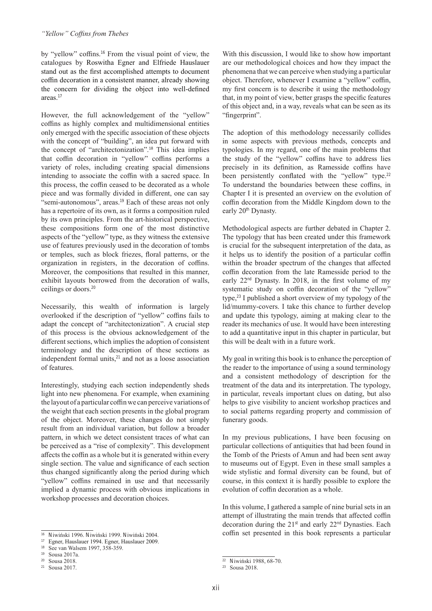by "yellow" coffins.<sup>16</sup> From the visual point of view, the catalogues by Roswitha Egner and Elfriede Hauslauer stand out as the first accomplished attempts to document coffin decoration in a consistent manner, already showing the concern for dividing the object into well-defined areas.<sup>17</sup>

However, the full acknowledgement of the "yellow" coffins as highly complex and multidimensional entities only emerged with the specific association of these objects with the concept of "building", an idea put forward with the concept of "architectonization".<sup>18</sup> This idea implies that coffin decoration in "yellow" coffins performs a variety of roles, including creating spacial dimensions intending to associate the coffin with a sacred space. In this process, the coffin ceased to be decorated as a whole piece and was formally divided in different, one can say "semi-autonomous", areas.<sup>19</sup> Each of these areas not only has a repertoire of its own, as it forms a composition ruled by its own principles. From the art-historical perspective, these compositions form one of the most distinctive aspects of the "yellow" type, as they witness the extensive use of features previously used in the decoration of tombs or temples, such as block friezes, floral patterns, or the organization in registers, in the decoration of coffins. Moreover, the compositions that resulted in this manner, exhibit layouts borrowed from the decoration of walls, ceilings or doors.<sup>20</sup>

Necessarily, this wealth of information is largely overlooked if the description of "yellow" coffins fails to adapt the concept of "architectonization". A crucial step of this process is the obvious acknowledgement of the different sections, which implies the adoption of consistent terminology and the description of these sections as independent formal units,<sup>21</sup> and not as a loose association of features.

Interestingly, studying each section independently sheds light into new phenomena. For example, when examining the layout of a particular coffin we can perceive variations of the weight that each section presents in the global program of the object. Moreover, these changes do not simply result from an individual variation, but follow a broader pattern, in which we detect consistent traces of what can be perceived as a "rise of complexity". This development affects the coffin as a whole but it is generated within every single section. The value and significance of each section thus changed significantly along the period during which "yellow" coffins remained in use and that necessarily implied a dynamic process with obvious implications in workshop processes and decoration choices.

<sup>21</sup> Sousa 2017.

With this discussion, I would like to show how important are our methodological choices and how they impact the phenomena that we can perceive when studying a particular object. Therefore, whenever I examine a "yellow" coffin, my first concern is to describe it using the methodology that, in my point of view, better grasps the specific features of this object and, in a way, reveals what can be seen as its "fingerprint".

The adoption of this methodology necessarily collides in some aspects with previous methods, concepts and typologies. In my regard, one of the main problems that the study of the "yellow" coffins have to address lies precisely in its definition, as Ramesside coffins have been persistently conflated with the "yellow" type.<sup>22</sup> To understand the boundaries between these coffins, in Chapter I it is presented an overview on the evolution of coffin decoration from the Middle Kingdom down to the early 20<sup>th</sup> Dynasty.

Methodological aspects are further debated in Chapter 2. The typology that has been created under this framework is crucial for the subsequent interpretation of the data, as it helps us to identify the position of a particular coffin within the broader spectrum of the changes that affected coffin decoration from the late Ramesside period to the early 22nd Dynasty. In 2018, in the first volume of my systematic study on coffin decoration of the "yellow" type,<sup>23</sup> I published a short overview of my typology of the lid/mummy-covers. I take this chance to further develop and update this typology, aiming at making clear to the reader its mechanics of use. It would have been interesting to add a quantitative input in this chapter in particular, but this will be dealt with in a future work.

My goal in writing this book is to enhance the perception of the reader to the importance of using a sound terminology and a consistent methodology of description for the treatment of the data and its interpretation. The typology, in particular, reveals important clues on dating, but also helps to give visibility to ancient workshop practices and to social patterns regarding property and commission of funerary goods.

In my previous publications, I have been focusing on particular collections of antiquities that had been found in the Tomb of the Priests of Amun and had been sent away to museums out of Egypt. Even in these small samples a wide stylistic and formal diversity can be found, but of course, in this context it is hardly possible to explore the evolution of coffin decoration as a whole.

In this volume, I gathered a sample of nine burial sets in an attempt of illustrating the main trends that affected coffin decoration during the  $21^{st}$  and early  $22^{nd}$  Dynasties. Each coffin set presented in this book represents a particular

<sup>16</sup> Niwiński 1996. Niwiński 1999. Niwiński 2004.

<sup>17</sup> Egner, Hauslauer 1994. Egner, Hauslauer 2009.

<sup>18</sup> See van Walsem 1997, 358-359.

<sup>19</sup> Sousa 2017a.

<sup>20</sup> Sousa 2018.

 $22$  Niwiński 1988, 68-70.

<sup>23</sup> Sousa 2018.